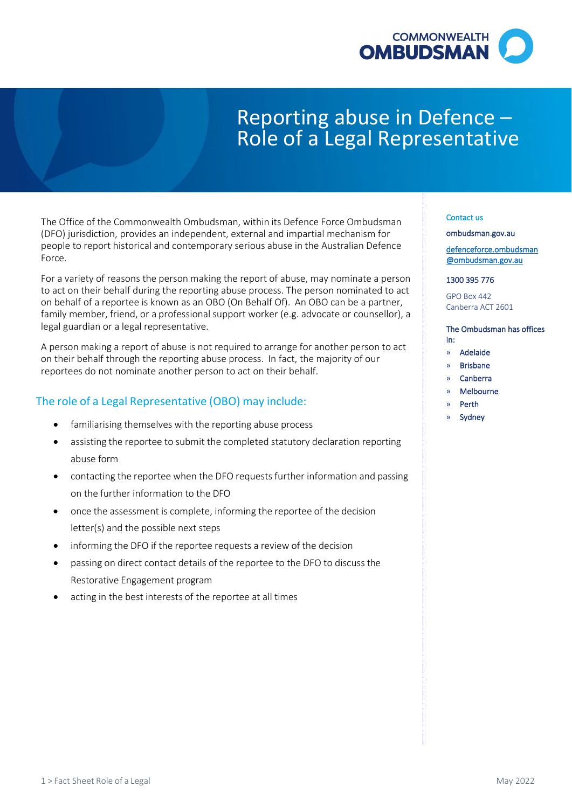

# Reporting abuse in Defence – Role of a Legal Representative

 The Office of the Commonwealth Ombudsman, within its Defence Force Ombudsman people to report historical and contemporary serious abuse in the Australian Defence (DFO) jurisdiction, provides an independent, external and impartial mechanism for Force.

 For a variety of reasons the person making the report of abuse, may nominate a person to act on their behalf during the reporting abuse process. The person nominated to act family member, friend, or a professional support worker (e.g. advocate or counsellor), a on behalf of a reportee is known as an OBO (On Behalf Of). An OBO can be a partner, legal guardian or a legal representative.

 A person making a report of abuse is not required to arrange for another person to act on their behalf through the reporting abuse process. In fact, the majority of our reportees do not nominate another person to act on their behalf.

# The role of a Legal Representative (OBO) may include:

- familiarising themselves with the reporting abuse process
- • assisting the reportee to submit the completed statutory declaration reporting abuse form
- • contacting the reportee when the DFO requests further information and passing on the further information to the DFO
- • once the assessment is complete, informing the reportee of the decision letter(s) and the possible next steps
- informing the DFO if the reportee requests a review of the decision
- • passing on direct contact details of the reportee to the DFO to discuss the Restorative Engagement program
- acting in the best interests of the reportee at all times

## Contact us

[ombudsman.gov.au](http://www.ombudsman.gov.au/) 

[defenceforce.ombudsman](mailto:defenceforce.ombudsman@ombudsman.gov.au)  [@ombudsman.gov.au](mailto:defenceforce.ombudsman@ombudsman.gov.au) 

### 1300 395 776

GPO Box 442 Canberra ACT 2601

#### The Ombudsman has offices in:

- » Adelaide
- » Brisbane
- » Canberra
- » Melbourne
- » Perth
- **Sydney**